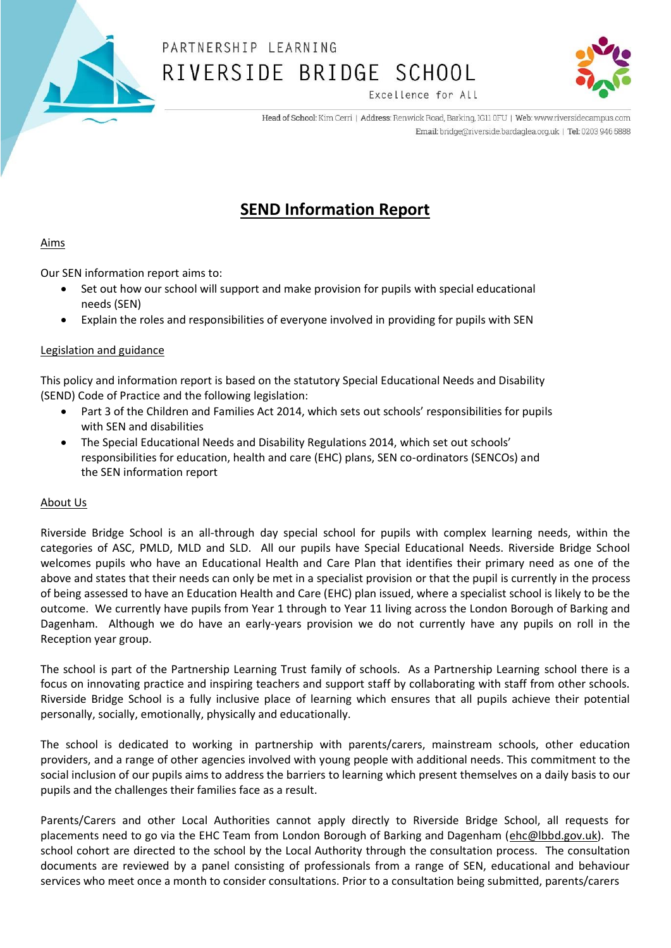

Excellence for All

Head of School: Kim Cerri | Address: Renwick Road, Barking, IG11 0FU | Web: www.riversidecampus.com Email: bridge@riverside.bardaglea.org.uk | Tel: 0203 946 5888

### **SEND Information Report**

#### Aims

Our SEN information report aims to:

- Set out how our school will support and make provision for pupils with special educational needs (SEN)
- Explain the roles and responsibilities of everyone involved in providing for pupils with SEN

#### Legislation and guidance

This policy and information report is based on the statutory Special Educational Needs and Disability (SEND) Code of Practice and the following legislation:

- Part 3 of the Children and Families Act 2014, which sets out schools' responsibilities for pupils with SEN and disabilities
- The Special Educational Needs and Disability Regulations 2014, which set out schools' responsibilities for education, health and care (EHC) plans, SEN co-ordinators (SENCOs) and the SEN information report

#### About Us

Riverside Bridge School is an all-through day special school for pupils with complex learning needs, within the categories of ASC, PMLD, MLD and SLD. All our pupils have Special Educational Needs. Riverside Bridge School welcomes pupils who have an Educational Health and Care Plan that identifies their primary need as one of the above and states that their needs can only be met in a specialist provision or that the pupil is currently in the process of being assessed to have an Education Health and Care (EHC) plan issued, where a specialist school is likely to be the outcome. We currently have pupils from Year 1 through to Year 11 living across the London Borough of Barking and Dagenham. Although we do have an early-years provision we do not currently have any pupils on roll in the Reception year group.

The school is part of the Partnership Learning Trust family of schools. As a Partnership Learning school there is a focus on innovating practice and inspiring teachers and support staff by collaborating with staff from other schools. Riverside Bridge School is a fully inclusive place of learning which ensures that all pupils achieve their potential personally, socially, emotionally, physically and educationally.

The school is dedicated to working in partnership with parents/carers, mainstream schools, other education providers, and a range of other agencies involved with young people with additional needs. This commitment to the social inclusion of our pupils aims to address the barriers to learning which present themselves on a daily basis to our pupils and the challenges their families face as a result.

Parents/Carers and other Local Authorities cannot apply directly to Riverside Bridge School, all requests for placements need to go via the EHC Team from London Borough of Barking and Dagenham [\(ehc@lbbd.gov.uk\)](mailto:ehc@lbbd.gov.uk). The school cohort are directed to the school by the Local Authority through the consultation process. The consultation documents are reviewed by a panel consisting of professionals from a range of SEN, educational and behaviour services who meet once a month to consider consultations. Prior to a consultation being submitted, parents/carers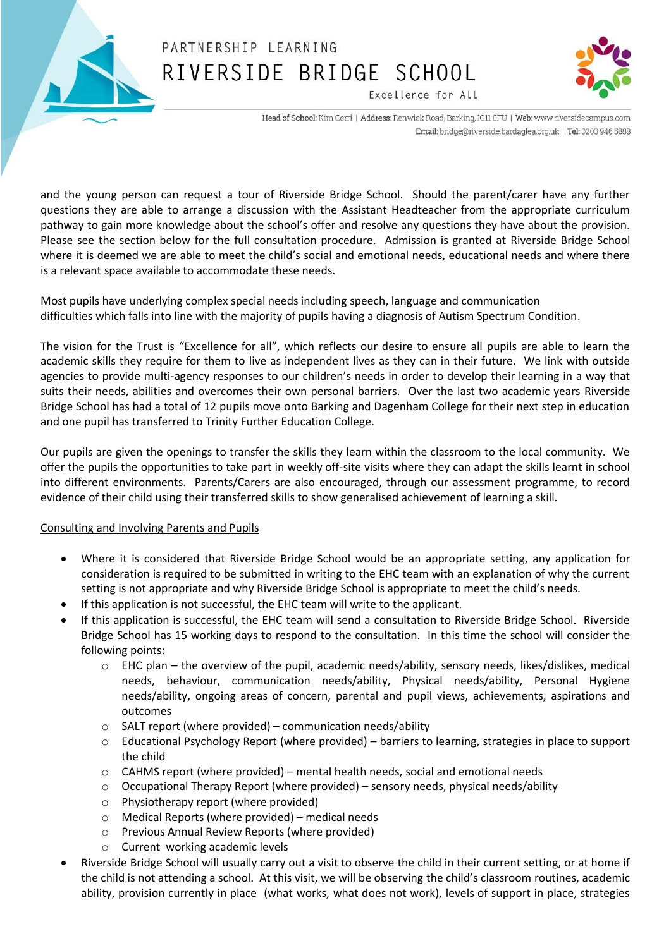



Excellence for All

Head of School: Kim Cerri | Address: Renwick Road, Barking, IG11 0FU | Web: www.riversidecampus.com Email: bridge@riverside.bardaglea.org.uk | Tel: 0203 946 5888

and the young person can request a tour of Riverside Bridge School. Should the parent/carer have any further questions they are able to arrange a discussion with the Assistant Headteacher from the appropriate curriculum pathway to gain more knowledge about the school's offer and resolve any questions they have about the provision. Please see the section below for the full consultation procedure. Admission is granted at Riverside Bridge School where it is deemed we are able to meet the child's social and emotional needs, educational needs and where there is a relevant space available to accommodate these needs.

Most pupils have underlying complex special needs including speech, language and communication difficulties which falls into line with the majority of pupils having a diagnosis of Autism Spectrum Condition.

The vision for the Trust is "Excellence for all", which reflects our desire to ensure all pupils are able to learn the academic skills they require for them to live as independent lives as they can in their future. We link with outside agencies to provide multi-agency responses to our children's needs in order to develop their learning in a way that suits their needs, abilities and overcomes their own personal barriers. Over the last two academic years Riverside Bridge School has had a total of 12 pupils move onto Barking and Dagenham College for their next step in education and one pupil has transferred to Trinity Further Education College.

Our pupils are given the openings to transfer the skills they learn within the classroom to the local community. We offer the pupils the opportunities to take part in weekly off-site visits where they can adapt the skills learnt in school into different environments. Parents/Carers are also encouraged, through our assessment programme, to record evidence of their child using their transferred skills to show generalised achievement of learning a skill.

#### Consulting and Involving Parents and Pupils

- Where it is considered that Riverside Bridge School would be an appropriate setting, any application for consideration is required to be submitted in writing to the EHC team with an explanation of why the current setting is not appropriate and why Riverside Bridge School is appropriate to meet the child's needs.
- If this application is not successful, the EHC team will write to the applicant.
- If this application is successful, the EHC team will send a consultation to Riverside Bridge School. Riverside Bridge School has 15 working days to respond to the consultation. In this time the school will consider the following points:
	- $\circ$  EHC plan the overview of the pupil, academic needs/ability, sensory needs, likes/dislikes, medical needs, behaviour, communication needs/ability, Physical needs/ability, Personal Hygiene needs/ability, ongoing areas of concern, parental and pupil views, achievements, aspirations and outcomes
	- $\circ$  SALT report (where provided) communication needs/ability
	- $\circ$  Educational Psychology Report (where provided) barriers to learning, strategies in place to support the child
	- $\circ$  CAHMS report (where provided) mental health needs, social and emotional needs
	- $\circ$  Occupational Therapy Report (where provided) sensory needs, physical needs/ability
	- o Physiotherapy report (where provided)
	- o Medical Reports (where provided) medical needs
	- o Previous Annual Review Reports (where provided)
	- o Current working academic levels
- Riverside Bridge School will usually carry out a visit to observe the child in their current setting, or at home if the child is not attending a school. At this visit, we will be observing the child's classroom routines, academic ability, provision currently in place (what works, what does not work), levels of support in place, strategies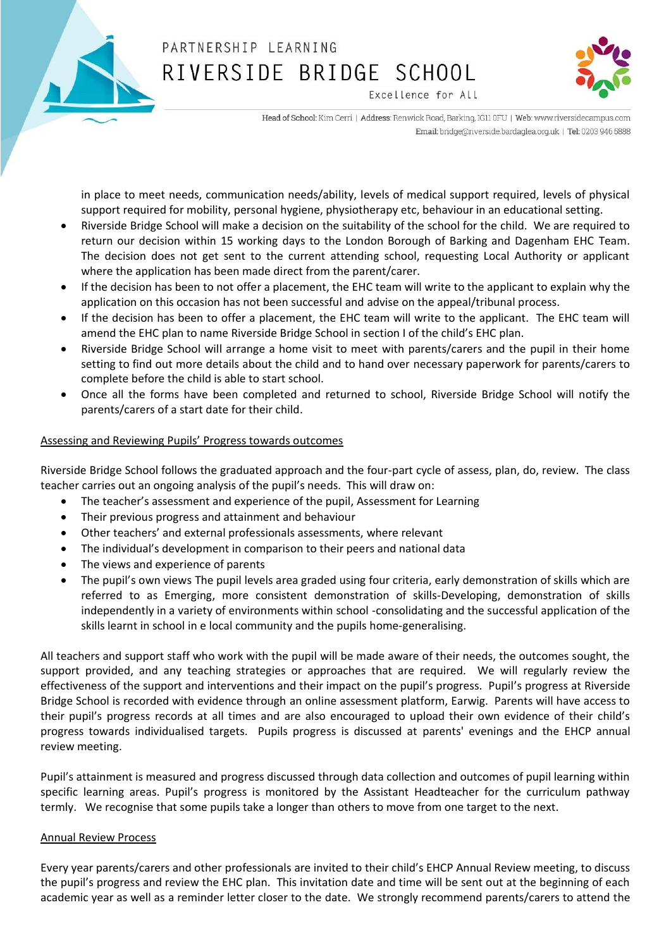



Excellence for All

Head of School: Kim Cerri | Address: Renwick Road, Barking, IG11 0FU | Web: www.riversidecampus.com Email: bridge@riverside.bardaglea.org.uk | Tel: 0203 946 5888

in place to meet needs, communication needs/ability, levels of medical support required, levels of physical support required for mobility, personal hygiene, physiotherapy etc, behaviour in an educational setting.

- Riverside Bridge School will make a decision on the suitability of the school for the child. We are required to return our decision within 15 working days to the London Borough of Barking and Dagenham EHC Team. The decision does not get sent to the current attending school, requesting Local Authority or applicant where the application has been made direct from the parent/carer.
- If the decision has been to not offer a placement, the EHC team will write to the applicant to explain why the application on this occasion has not been successful and advise on the appeal/tribunal process.
- If the decision has been to offer a placement, the EHC team will write to the applicant. The EHC team will amend the EHC plan to name Riverside Bridge School in section I of the child's EHC plan.
- Riverside Bridge School will arrange a home visit to meet with parents/carers and the pupil in their home setting to find out more details about the child and to hand over necessary paperwork for parents/carers to complete before the child is able to start school.
- Once all the forms have been completed and returned to school, Riverside Bridge School will notify the parents/carers of a start date for their child.

#### Assessing and Reviewing Pupils' Progress towards outcomes

Riverside Bridge School follows the graduated approach and the four-part cycle of assess, plan, do, review. The class teacher carries out an ongoing analysis of the pupil's needs. This will draw on:

- The teacher's assessment and experience of the pupil, Assessment for Learning
- Their previous progress and attainment and behaviour
- Other teachers' and external professionals assessments, where relevant
- The individual's development in comparison to their peers and national data
- The views and experience of parents
- The pupil's own views The pupil levels area graded using four criteria, early demonstration of skills which are referred to as Emerging, more consistent demonstration of skills-Developing, demonstration of skills independently in a variety of environments within school -consolidating and the successful application of the skills learnt in school in e local community and the pupils home-generalising.

All teachers and support staff who work with the pupil will be made aware of their needs, the outcomes sought, the support provided, and any teaching strategies or approaches that are required. We will regularly review the effectiveness of the support and interventions and their impact on the pupil's progress. Pupil's progress at Riverside Bridge School is recorded with evidence through an online assessment platform, Earwig. Parents will have access to their pupil's progress records at all times and are also encouraged to upload their own evidence of their child's progress towards individualised targets. Pupils progress is discussed at parents' evenings and the EHCP annual review meeting.

Pupil's attainment is measured and progress discussed through data collection and outcomes of pupil learning within specific learning areas. Pupil's progress is monitored by the Assistant Headteacher for the curriculum pathway termly. We recognise that some pupils take a longer than others to move from one target to the next.

#### Annual Review Process

Every year parents/carers and other professionals are invited to their child's EHCP Annual Review meeting, to discuss the pupil's progress and review the EHC plan. This invitation date and time will be sent out at the beginning of each academic year as well as a reminder letter closer to the date. We strongly recommend parents/carers to attend the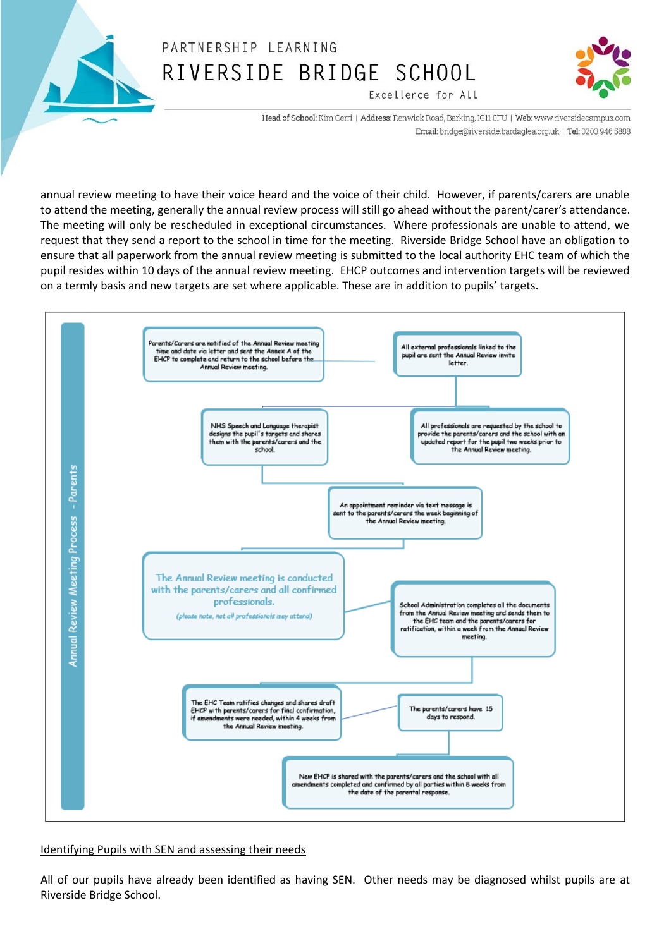



Excellence for All

Head of School: Kim Cerri | Address: Renwick Road, Barking, IG11 0FU | Web: www.riversidecampus.com Email: bridge@riverside.bardaglea.org.uk | Tel: 0203 946 5888

annual review meeting to have their voice heard and the voice of their child. However, if parents/carers are unable to attend the meeting, generally the annual review process will still go ahead without the parent/carer's attendance. The meeting will only be rescheduled in exceptional circumstances. Where professionals are unable to attend, we request that they send a report to the school in time for the meeting. Riverside Bridge School have an obligation to ensure that all paperwork from the annual review meeting is submitted to the local authority EHC team of which the pupil resides within 10 days of the annual review meeting. EHCP outcomes and intervention targets will be reviewed on a termly basis and new targets are set where applicable. These are in addition to pupils' targets.



Identifying Pupils with SEN and assessing their needs

All of our pupils have already been identified as having SEN. Other needs may be diagnosed whilst pupils are at Riverside Bridge School.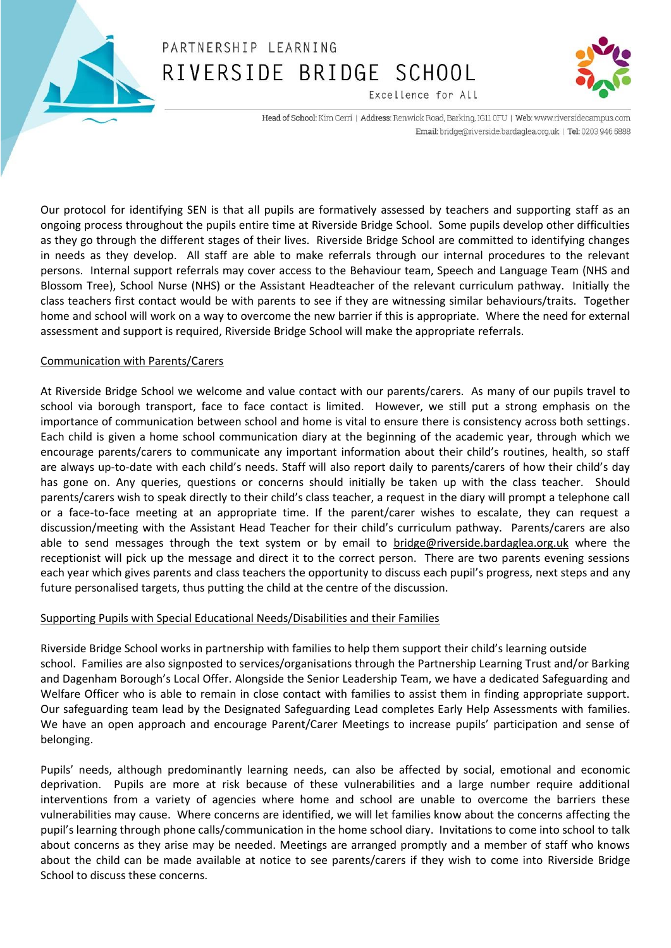



Head of School: Kim Cerri | Address: Renwick Road, Barking, IG11 0FU | Web: www.riversidecampus.com

Excellence for All

Email: bridge@riverside.bardaglea.org.uk | Tel: 0203 946 5888

Our protocol for identifying SEN is that all pupils are formatively assessed by teachers and supporting staff as an ongoing process throughout the pupils entire time at Riverside Bridge School. Some pupils develop other difficulties as they go through the different stages of their lives. Riverside Bridge School are committed to identifying changes in needs as they develop. All staff are able to make referrals through our internal procedures to the relevant persons. Internal support referrals may cover access to the Behaviour team, Speech and Language Team (NHS and Blossom Tree), School Nurse (NHS) or the Assistant Headteacher of the relevant curriculum pathway. Initially the class teachers first contact would be with parents to see if they are witnessing similar behaviours/traits. Together home and school will work on a way to overcome the new barrier if this is appropriate. Where the need for external assessment and support is required, Riverside Bridge School will make the appropriate referrals.

#### Communication with Parents/Carers

At Riverside Bridge School we welcome and value contact with our parents/carers. As many of our pupils travel to school via borough transport, face to face contact is limited. However, we still put a strong emphasis on the importance of communication between school and home is vital to ensure there is consistency across both settings. Each child is given a home school communication diary at the beginning of the academic year, through which we encourage parents/carers to communicate any important information about their child's routines, health, so staff are always up-to-date with each child's needs. Staff will also report daily to parents/carers of how their child's day has gone on. Any queries, questions or concerns should initially be taken up with the class teacher. Should parents/carers wish to speak directly to their child's class teacher, a request in the diary will prompt a telephone call or a face-to-face meeting at an appropriate time. If the parent/carer wishes to escalate, they can request a discussion/meeting with the Assistant Head Teacher for their child's curriculum pathway. Parents/carers are also able to send messages through the text system or by email to [bridge@riverside.bardaglea.org.uk](mailto:bridge@riverside.bardaglea.org.uk) where the receptionist will pick up the message and direct it to the correct person. There are two parents evening sessions each year which gives parents and class teachers the opportunity to discuss each pupil's progress, next steps and any future personalised targets, thus putting the child at the centre of the discussion.

#### Supporting Pupils with Special Educational Needs/Disabilities and their Families

Riverside Bridge School works in partnership with families to help them support their child's learning outside school. Families are also signposted to services/organisations through the Partnership Learning Trust and/or Barking and Dagenham Borough's Local Offer. Alongside the Senior Leadership Team, we have a dedicated Safeguarding and Welfare Officer who is able to remain in close contact with families to assist them in finding appropriate support. Our safeguarding team lead by the Designated Safeguarding Lead completes Early Help Assessments with families. We have an open approach and encourage Parent/Carer Meetings to increase pupils' participation and sense of belonging.

Pupils' needs, although predominantly learning needs, can also be affected by social, emotional and economic deprivation. Pupils are more at risk because of these vulnerabilities and a large number require additional interventions from a variety of agencies where home and school are unable to overcome the barriers these vulnerabilities may cause. Where concerns are identified, we will let families know about the concerns affecting the pupil's learning through phone calls/communication in the home school diary. Invitations to come into school to talk about concerns as they arise may be needed. Meetings are arranged promptly and a member of staff who knows about the child can be made available at notice to see parents/carers if they wish to come into Riverside Bridge School to discuss these concerns.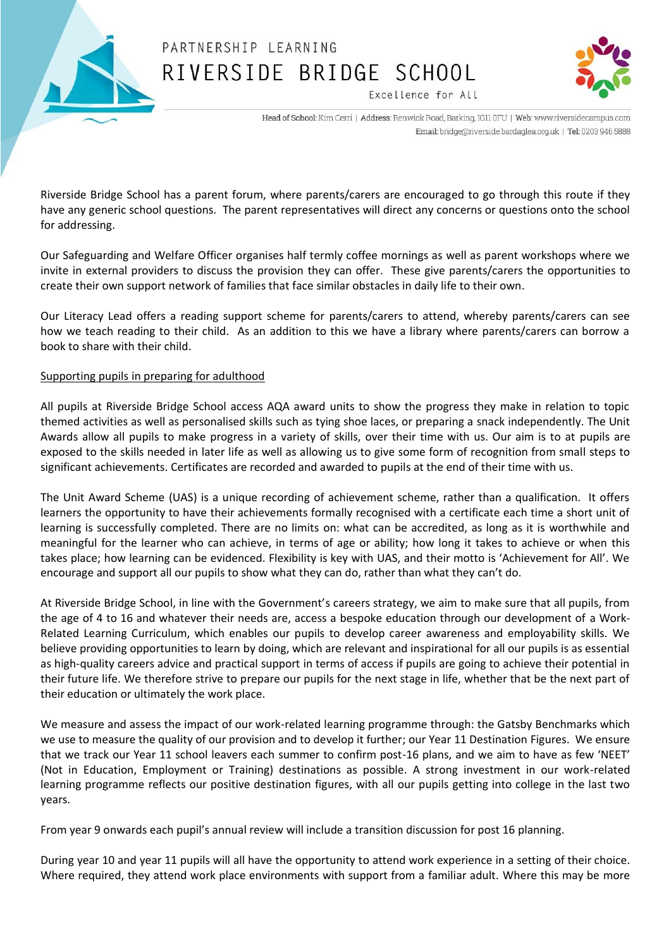



Excellence for All

Head of School: Kim Cerri | Address: Renwick Road, Barking, IG11 0FU | Web: www.riversidecampus.com Email: bridge@riverside.bardaglea.org.uk | Tel: 0203 946 5888

Riverside Bridge School has a parent forum, where parents/carers are encouraged to go through this route if they have any generic school questions. The parent representatives will direct any concerns or questions onto the school for addressing.

Our Safeguarding and Welfare Officer organises half termly coffee mornings as well as parent workshops where we invite in external providers to discuss the provision they can offer. These give parents/carers the opportunities to create their own support network of families that face similar obstacles in daily life to their own.

Our Literacy Lead offers a reading support scheme for parents/carers to attend, whereby parents/carers can see how we teach reading to their child. As an addition to this we have a library where parents/carers can borrow a book to share with their child.

#### Supporting pupils in preparing for adulthood

All pupils at Riverside Bridge School access AQA award units to show the progress they make in relation to topic themed activities as well as personalised skills such as tying shoe laces, or preparing a snack independently. The Unit Awards allow all pupils to make progress in a variety of skills, over their time with us. Our aim is to at pupils are exposed to the skills needed in later life as well as allowing us to give some form of recognition from small steps to significant achievements. Certificates are recorded and awarded to pupils at the end of their time with us.

The Unit Award Scheme (UAS) is a unique recording of achievement scheme, rather than a qualification. It offers learners the opportunity to have their achievements formally recognised with a certificate each time a short unit of learning is successfully completed. There are no limits on: what can be accredited, as long as it is worthwhile and meaningful for the learner who can achieve, in terms of age or ability; how long it takes to achieve or when this takes place; how learning can be evidenced. Flexibility is key with UAS, and their motto is 'Achievement for All'. We encourage and support all our pupils to show what they can do, rather than what they can't do.

At Riverside Bridge School, in line with the Government's careers strategy, we aim to make sure that all pupils, from the age of 4 to 16 and whatever their needs are, access a bespoke education through our development of a Work-Related Learning Curriculum, which enables our pupils to develop career awareness and employability skills. We believe providing opportunities to learn by doing, which are relevant and inspirational for all our pupils is as essential as high-quality careers advice and practical support in terms of access if pupils are going to achieve their potential in their future life. We therefore strive to prepare our pupils for the next stage in life, whether that be the next part of their education or ultimately the work place.

We measure and assess the impact of our work-related learning programme through: the Gatsby Benchmarks which we use to measure the quality of our provision and to develop it further; our Year 11 Destination Figures. We ensure that we track our Year 11 school leavers each summer to confirm post-16 plans, and we aim to have as few 'NEET' (Not in Education, Employment or Training) destinations as possible. A strong investment in our work-related learning programme reflects our positive destination figures, with all our pupils getting into college in the last two years.

From year 9 onwards each pupil's annual review will include a transition discussion for post 16 planning.

During year 10 and year 11 pupils will all have the opportunity to attend work experience in a setting of their choice. Where required, they attend work place environments with support from a familiar adult. Where this may be more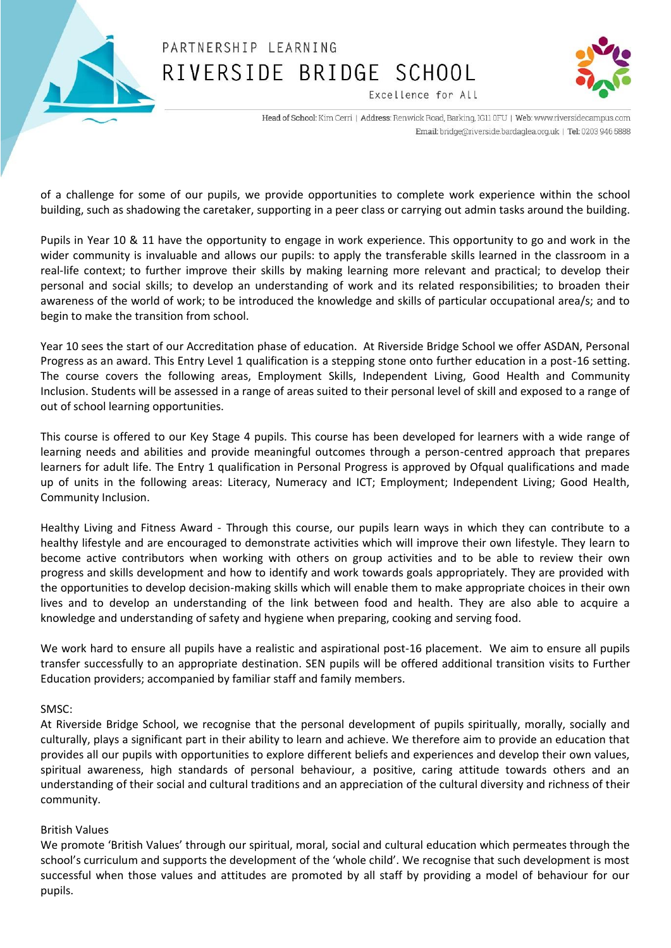



Excellence for All

Head of School: Kim Cerri | Address: Renwick Road, Barking, IG11 0FU | Web: www.riversidecampus.com Email: bridge@riverside.bardaglea.org.uk | Tel: 0203 946 5888

of a challenge for some of our pupils, we provide opportunities to complete work experience within the school building, such as shadowing the caretaker, supporting in a peer class or carrying out admin tasks around the building.

Pupils in Year 10 & 11 have the opportunity to engage in work experience. This opportunity to go and work in the wider community is invaluable and allows our pupils: to apply the transferable skills learned in the classroom in a real-life context; to further improve their skills by making learning more relevant and practical; to develop their personal and social skills; to develop an understanding of work and its related responsibilities; to broaden their awareness of the world of work; to be introduced the knowledge and skills of particular occupational area/s; and to begin to make the transition from school.

Year 10 sees the start of our Accreditation phase of education. At Riverside Bridge School we offer ASDAN, Personal Progress as an award. This Entry Level 1 qualification is a stepping stone onto further education in a post-16 setting. The course covers the following areas, Employment Skills, Independent Living, Good Health and Community Inclusion. Students will be assessed in a range of areas suited to their personal level of skill and exposed to a range of out of school learning opportunities.

This course is offered to our Key Stage 4 pupils. This course has been developed for learners with a wide range of learning needs and abilities and provide meaningful outcomes through a person-centred approach that prepares learners for adult life. The Entry 1 qualification in Personal Progress is approved by Ofqual qualifications and made up of units in the following areas: Literacy, Numeracy and ICT; Employment; Independent Living; Good Health, Community Inclusion.

Healthy Living and Fitness Award - Through this course, our pupils learn ways in which they can contribute to a healthy lifestyle and are encouraged to demonstrate activities which will improve their own lifestyle. They learn to become active contributors when working with others on group activities and to be able to review their own progress and skills development and how to identify and work towards goals appropriately. They are provided with the opportunities to develop decision-making skills which will enable them to make appropriate choices in their own lives and to develop an understanding of the link between food and health. They are also able to acquire a knowledge and understanding of safety and hygiene when preparing, cooking and serving food.

We work hard to ensure all pupils have a realistic and aspirational post-16 placement. We aim to ensure all pupils transfer successfully to an appropriate destination. SEN pupils will be offered additional transition visits to Further Education providers; accompanied by familiar staff and family members.

#### SMSC:

At Riverside Bridge School, we recognise that the personal development of pupils spiritually, morally, socially and culturally, plays a significant part in their ability to learn and achieve. We therefore aim to provide an education that provides all our pupils with opportunities to explore different beliefs and experiences and develop their own values, spiritual awareness, high standards of personal behaviour, a positive, caring attitude towards others and an understanding of their social and cultural traditions and an appreciation of the cultural diversity and richness of their community.

#### British Values

We promote 'British Values' through our spiritual, moral, social and cultural education which permeates through the school's curriculum and supports the development of the 'whole child'. We recognise that such development is most successful when those values and attitudes are promoted by all staff by providing a model of behaviour for our pupils.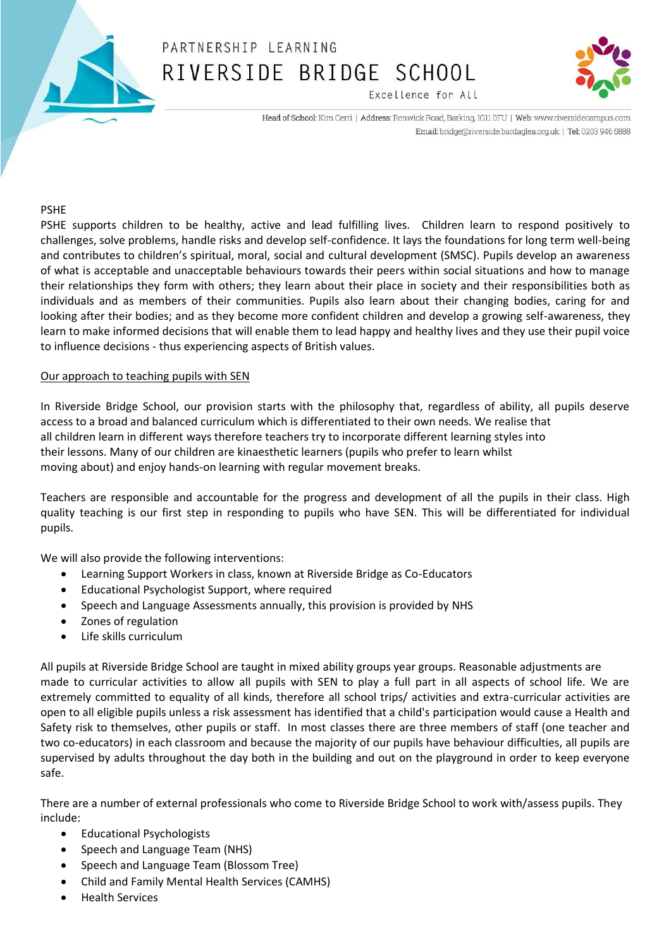



Head of School: Kim Cerri | Address: Renwick Road, Barking, IG11 0FU | Web: www.riversidecampus.com Email: bridge@riverside.bardaglea.org.uk | Tel: 0203 946 5888

Excellence for All

#### PSHE

PSHE supports children to be healthy, active and lead fulfilling lives. Children learn to respond positively to challenges, solve problems, handle risks and develop self-confidence. It lays the foundations for long term well-being and contributes to children's spiritual, moral, social and cultural development (SMSC). Pupils develop an awareness of what is acceptable and unacceptable behaviours towards their peers within social situations and how to manage their relationships they form with others; they learn about their place in society and their responsibilities both as individuals and as members of their communities. Pupils also learn about their changing bodies, caring for and looking after their bodies; and as they become more confident children and develop a growing self-awareness, they learn to make informed decisions that will enable them to lead happy and healthy lives and they use their pupil voice to influence decisions - thus experiencing aspects of British values.

#### Our approach to teaching pupils with SEN

In Riverside Bridge School, our provision starts with the philosophy that, regardless of ability, all pupils deserve access to a broad and balanced curriculum which is differentiated to their own needs. We realise that all children learn in different ways therefore teachers try to incorporate different learning styles into their lessons. Many of our children are kinaesthetic learners (pupils who prefer to learn whilst moving about) and enjoy hands-on learning with regular movement breaks.

Teachers are responsible and accountable for the progress and development of all the pupils in their class. High quality teaching is our first step in responding to pupils who have SEN. This will be differentiated for individual pupils.

We will also provide the following interventions:

- Learning Support Workers in class, known at Riverside Bridge as Co-Educators
- Educational Psychologist Support, where required
- Speech and Language Assessments annually, this provision is provided by NHS
- Zones of regulation
- Life skills curriculum

All pupils at Riverside Bridge School are taught in mixed ability groups year groups. Reasonable adjustments are made to curricular activities to allow all pupils with SEN to play a full part in all aspects of school life. We are extremely committed to equality of all kinds, therefore all school trips/ activities and extra-curricular activities are open to all eligible pupils unless a risk assessment has identified that a child's participation would cause a Health and Safety risk to themselves, other pupils or staff. In most classes there are three members of staff (one teacher and two co-educators) in each classroom and because the majority of our pupils have behaviour difficulties, all pupils are supervised by adults throughout the day both in the building and out on the playground in order to keep everyone safe.

There are a number of external professionals who come to Riverside Bridge School to work with/assess pupils. They include:

- Educational Psychologists
- Speech and Language Team (NHS)
- Speech and Language Team (Blossom Tree)
- Child and Family Mental Health Services (CAMHS)
- Health Services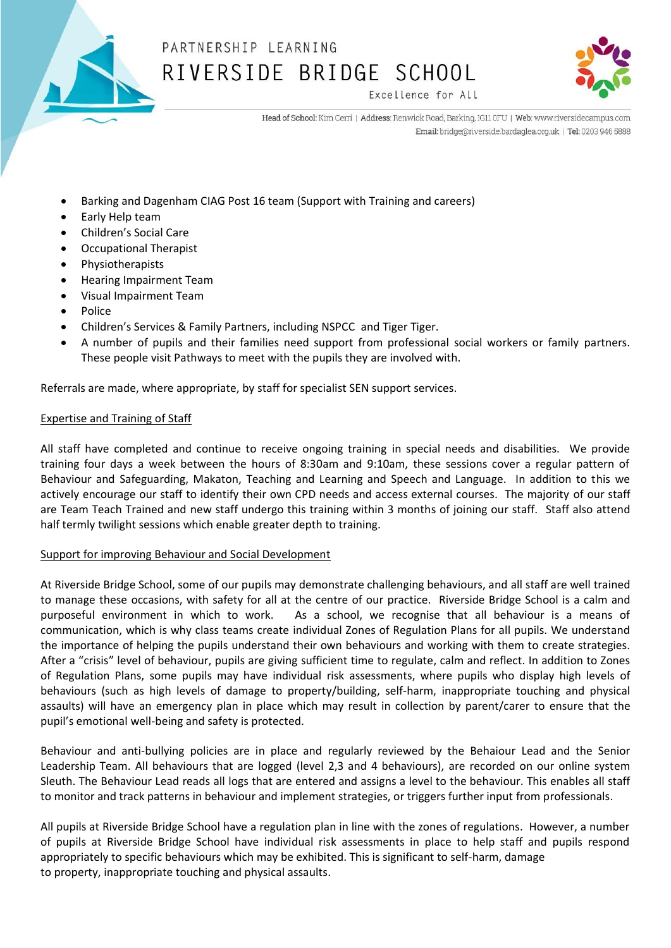



Excellence for All

Head of School: Kim Cerri | Address: Renwick Road, Barking, IG11 0FU | Web: www.riversidecampus.com Email: bridge@riverside.bardaglea.org.uk | Tel: 0203 946 5888

- Barking and Dagenham CIAG Post 16 team (Support with Training and careers)
- Early Help team
- Children's Social Care
- Occupational Therapist
- Physiotherapists
- Hearing Impairment Team
- Visual Impairment Team
- Police
- Children's Services & Family Partners, including NSPCC and Tiger Tiger.
- A number of pupils and their families need support from professional social workers or family partners. These people visit Pathways to meet with the pupils they are involved with.

Referrals are made, where appropriate, by staff for specialist SEN support services.

#### Expertise and Training of Staff

All staff have completed and continue to receive ongoing training in special needs and disabilities. We provide training four days a week between the hours of 8:30am and 9:10am, these sessions cover a regular pattern of Behaviour and Safeguarding, Makaton, Teaching and Learning and Speech and Language. In addition to this we actively encourage our staff to identify their own CPD needs and access external courses. The majority of our staff are Team Teach Trained and new staff undergo this training within 3 months of joining our staff. Staff also attend half termly twilight sessions which enable greater depth to training.

#### Support for improving Behaviour and Social Development

At Riverside Bridge School, some of our pupils may demonstrate challenging behaviours, and all staff are well trained to manage these occasions, with safety for all at the centre of our practice. Riverside Bridge School is a calm and purposeful environment in which to work. As a school, we recognise that all behaviour is a means of communication, which is why class teams create individual Zones of Regulation Plans for all pupils. We understand the importance of helping the pupils understand their own behaviours and working with them to create strategies. After a "crisis" level of behaviour, pupils are giving sufficient time to regulate, calm and reflect. In addition to Zones of Regulation Plans, some pupils may have individual risk assessments, where pupils who display high levels of behaviours (such as high levels of damage to property/building, self-harm, inappropriate touching and physical assaults) will have an emergency plan in place which may result in collection by parent/carer to ensure that the pupil's emotional well-being and safety is protected.

Behaviour and anti-bullying policies are in place and regularly reviewed by the Behaiour Lead and the Senior Leadership Team. All behaviours that are logged (level 2,3 and 4 behaviours), are recorded on our online system Sleuth. The Behaviour Lead reads all logs that are entered and assigns a level to the behaviour. This enables all staff to monitor and track patterns in behaviour and implement strategies, or triggers further input from professionals.

All pupils at Riverside Bridge School have a regulation plan in line with the zones of regulations. However, a number of pupils at Riverside Bridge School have individual risk assessments in place to help staff and pupils respond appropriately to specific behaviours which may be exhibited. This is significant to self-harm, damage to property, inappropriate touching and physical assaults.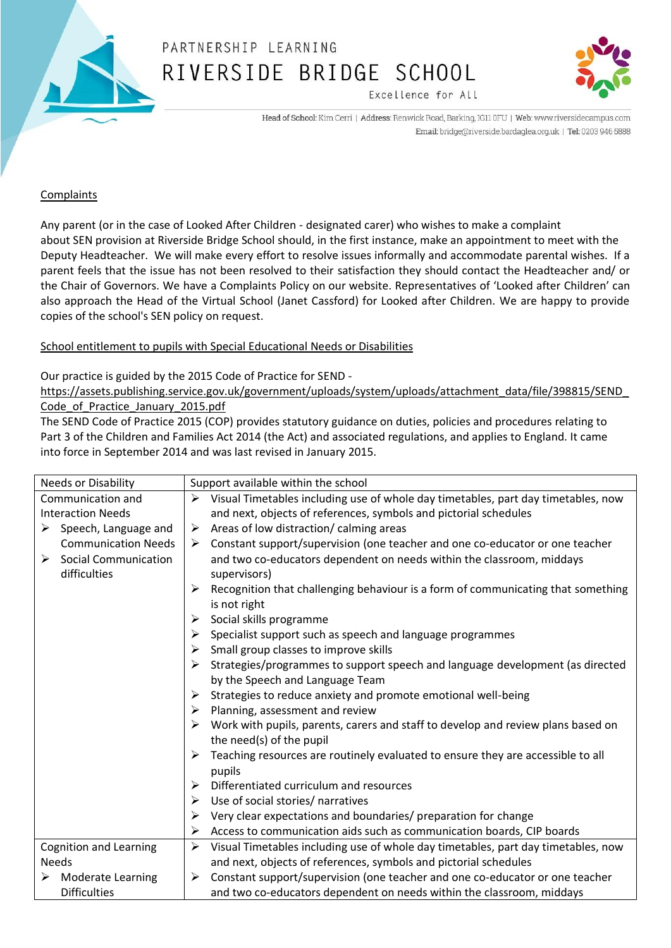



Head of School: Kim Cerri | Address: Renwick Road, Barking, IG11 0FU | Web: www.riversidecampus.com Email: bridge@riverside.bardaglea.org.uk | Tel: 0203 946 5888

Excellence for All

#### Complaints

Any parent (or in the case of Looked After Children - designated carer) who wishes to make a complaint about SEN provision at Riverside Bridge School should, in the first instance, make an appointment to meet with the Deputy Headteacher. We will make every effort to resolve issues informally and accommodate parental wishes. If a parent feels that the issue has not been resolved to their satisfaction they should contact the Headteacher and/ or the Chair of Governors. We have a Complaints Policy on our website. Representatives of 'Looked after Children' can also approach the Head of the Virtual School (Janet Cassford) for Looked after Children. We are happy to provide copies of the school's SEN policy on request.

#### School entitlement to pupils with Special Educational Needs or Disabilities

#### Our practice is guided by the 2015 Code of Practice for SEND -

[https://assets.publishing.service.gov.uk/government/uploads/system/uploads/attachment\\_data/file/398815/SEND\\_](https://assets.publishing.service.gov.uk/government/uploads/system/uploads/attachment_data/file/398815/SEND_Code_of_Practice_January_2015.pdf) Code of Practice January 2015.pdf

The SEND Code of Practice 2015 (COP) provides statutory guidance on duties, policies and procedures relating to Part 3 of the Children and Families Act 2014 (the Act) and associated regulations, and applies to England. It came into force in September 2014 and was last revised in January 2015.

| <b>Needs or Disability</b> |                                       | Support available within the school |                                                                                                              |  |
|----------------------------|---------------------------------------|-------------------------------------|--------------------------------------------------------------------------------------------------------------|--|
| Communication and          |                                       | ➤                                   | Visual Timetables including use of whole day timetables, part day timetables, now                            |  |
| <b>Interaction Needs</b>   |                                       |                                     | and next, objects of references, symbols and pictorial schedules                                             |  |
|                            | $\triangleright$ Speech, Language and | ➤                                   | Areas of low distraction/calming areas                                                                       |  |
|                            | <b>Communication Needs</b>            | ➤                                   | Constant support/supervision (one teacher and one co-educator or one teacher                                 |  |
|                            | $\triangleright$ Social Communication |                                     | and two co-educators dependent on needs within the classroom, middays                                        |  |
|                            | difficulties                          |                                     | supervisors)                                                                                                 |  |
|                            |                                       |                                     | Recognition that challenging behaviour is a form of communicating that something<br>is not right             |  |
|                            |                                       | ➤                                   | Social skills programme                                                                                      |  |
|                            |                                       | ➤                                   | Specialist support such as speech and language programmes                                                    |  |
|                            |                                       | ➤                                   | Small group classes to improve skills                                                                        |  |
|                            |                                       | ➤                                   | Strategies/programmes to support speech and language development (as directed                                |  |
|                            |                                       |                                     | by the Speech and Language Team                                                                              |  |
|                            |                                       | ➤                                   | Strategies to reduce anxiety and promote emotional well-being                                                |  |
|                            |                                       | ➤                                   | Planning, assessment and review                                                                              |  |
|                            |                                       |                                     | Work with pupils, parents, carers and staff to develop and review plans based on<br>the need(s) of the pupil |  |
|                            |                                       |                                     | Teaching resources are routinely evaluated to ensure they are accessible to all                              |  |
|                            |                                       |                                     | pupils                                                                                                       |  |
|                            |                                       | ➤                                   | Differentiated curriculum and resources                                                                      |  |
|                            |                                       | ➤                                   | Use of social stories/ narratives                                                                            |  |
|                            |                                       | ➤                                   | Very clear expectations and boundaries/ preparation for change                                               |  |
|                            |                                       | ➤                                   | Access to communication aids such as communication boards, CIP boards                                        |  |
|                            | <b>Cognition and Learning</b>         | ➤                                   | Visual Timetables including use of whole day timetables, part day timetables, now                            |  |
|                            | <b>Needs</b>                          |                                     | and next, objects of references, symbols and pictorial schedules                                             |  |
| ➤                          | <b>Moderate Learning</b>              | ➤                                   | Constant support/supervision (one teacher and one co-educator or one teacher                                 |  |
|                            | <b>Difficulties</b>                   |                                     | and two co-educators dependent on needs within the classroom, middays                                        |  |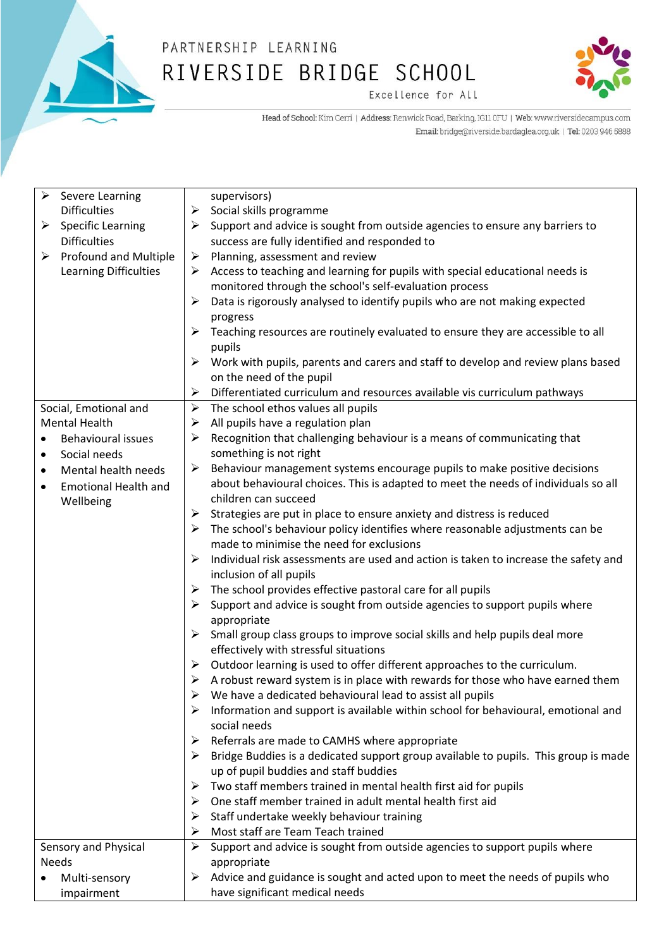



Excellence for All

Head of School: Kim Cerri | Address: Renwick Road, Barking, IG11 0FU | Web: www.riversidecampus.com Email: bridge@riverside.bardaglea.org.uk | Tel: 0203 946 5888

| $\blacktriangleright$ | Severe Learning             |                       | supervisors)                                                                                      |
|-----------------------|-----------------------------|-----------------------|---------------------------------------------------------------------------------------------------|
|                       | <b>Difficulties</b>         | ➤                     | Social skills programme                                                                           |
| ➤                     | <b>Specific Learning</b>    | ≻                     | Support and advice is sought from outside agencies to ensure any barriers to                      |
|                       | <b>Difficulties</b>         |                       | success are fully identified and responded to                                                     |
| ➤                     | Profound and Multiple       | ➤                     | Planning, assessment and review                                                                   |
|                       | Learning Difficulties       | ➤                     | Access to teaching and learning for pupils with special educational needs is                      |
|                       |                             |                       | monitored through the school's self-evaluation process                                            |
|                       |                             | ➤                     | Data is rigorously analysed to identify pupils who are not making expected                        |
|                       |                             |                       | progress                                                                                          |
|                       |                             | ≻                     | Teaching resources are routinely evaluated to ensure they are accessible to all                   |
|                       |                             |                       | pupils                                                                                            |
|                       |                             |                       | $\triangleright$ Work with pupils, parents and carers and staff to develop and review plans based |
|                       |                             |                       | on the need of the pupil                                                                          |
|                       |                             | ➤                     | Differentiated curriculum and resources available vis curriculum pathways                         |
|                       | Social, Emotional and       | $\blacktriangleright$ | The school ethos values all pupils                                                                |
|                       | <b>Mental Health</b>        | ➤                     | All pupils have a regulation plan                                                                 |
|                       | <b>Behavioural issues</b>   | ➤                     | Recognition that challenging behaviour is a means of communicating that                           |
| $\bullet$             | Social needs                |                       | something is not right                                                                            |
| $\bullet$             | Mental health needs         | ➤                     | Behaviour management systems encourage pupils to make positive decisions                          |
| $\bullet$             | <b>Emotional Health and</b> |                       | about behavioural choices. This is adapted to meet the needs of individuals so all                |
|                       | Wellbeing                   |                       | children can succeed                                                                              |
|                       |                             | ➤                     | Strategies are put in place to ensure anxiety and distress is reduced                             |
|                       |                             | ➤                     | The school's behaviour policy identifies where reasonable adjustments can be                      |
|                       |                             |                       | made to minimise the need for exclusions                                                          |
|                       |                             | ➤                     | Individual risk assessments are used and action is taken to increase the safety and               |
|                       |                             |                       | inclusion of all pupils                                                                           |
|                       |                             | ➤                     | The school provides effective pastoral care for all pupils                                        |
|                       |                             | ➤                     | Support and advice is sought from outside agencies to support pupils where                        |
|                       |                             |                       | appropriate                                                                                       |
|                       |                             | ➤                     | Small group class groups to improve social skills and help pupils deal more                       |
|                       |                             |                       | effectively with stressful situations                                                             |
|                       |                             | ➤                     | Outdoor learning is used to offer different approaches to the curriculum.                         |
|                       |                             | ➤                     | A robust reward system is in place with rewards for those who have earned them                    |
|                       |                             |                       | We have a dedicated behavioural lead to assist all pupils                                         |
|                       |                             | ➤                     | Information and support is available within school for behavioural, emotional and                 |
|                       |                             |                       | social needs                                                                                      |
|                       |                             | ➤                     | Referrals are made to CAMHS where appropriate                                                     |
|                       |                             |                       | Bridge Buddies is a dedicated support group available to pupils. This group is made               |
|                       |                             |                       | up of pupil buddies and staff buddies                                                             |
|                       |                             | ➤                     | Two staff members trained in mental health first aid for pupils                                   |
|                       |                             | ➤                     | One staff member trained in adult mental health first aid                                         |
|                       |                             | ➤                     | Staff undertake weekly behaviour training                                                         |
|                       |                             | ➤                     | Most staff are Team Teach trained                                                                 |
|                       | Sensory and Physical        |                       | Support and advice is sought from outside agencies to support pupils where                        |
| <b>Needs</b>          |                             |                       | appropriate                                                                                       |
|                       | Multi-sensory               | ➤                     | Advice and guidance is sought and acted upon to meet the needs of pupils who                      |
|                       | impairment                  |                       | have significant medical needs                                                                    |